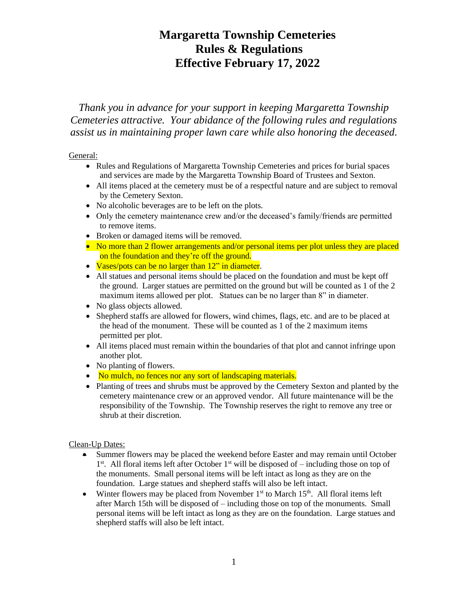### **Margaretta Township Cemeteries Rules & Regulations Effective February 17, 2022**

*Thank you in advance for your support in keeping Margaretta Township Cemeteries attractive. Your abidance of the following rules and regulations assist us in maintaining proper lawn care while also honoring the deceased.*

### General:

- Rules and Regulations of Margaretta Township Cemeteries and prices for burial spaces and services are made by the Margaretta Township Board of Trustees and Sexton.
- All items placed at the cemetery must be of a respectful nature and are subject to removal by the Cemetery Sexton.
- No alcoholic beverages are to be left on the plots.
- Only the cemetery maintenance crew and/or the deceased's family/friends are permitted to remove items.
- Broken or damaged items will be removed.
- No more than 2 flower arrangements and/or personal items per plot unless they are placed on the foundation and they're off the ground.
- Vases/pots can be no larger than 12" in diameter.
- All statues and personal items should be placed on the foundation and must be kept off the ground. Larger statues are permitted on the ground but will be counted as 1 of the 2 maximum items allowed per plot. Statues can be no larger than 8" in diameter.
- No glass objects allowed.
- Shepherd staffs are allowed for flowers, wind chimes, flags, etc. and are to be placed at the head of the monument. These will be counted as 1 of the 2 maximum items permitted per plot.
- All items placed must remain within the boundaries of that plot and cannot infringe upon another plot.
- No planting of flowers.
- No mulch, no fences nor any sort of landscaping materials.
- Planting of trees and shrubs must be approved by the Cemetery Sexton and planted by the cemetery maintenance crew or an approved vendor. All future maintenance will be the responsibility of the Township. The Township reserves the right to remove any tree or shrub at their discretion.

### Clean-Up Dates:

- Summer flowers may be placed the weekend before Easter and may remain until October 1<sup>st</sup>. All floral items left after October 1<sup>st</sup> will be disposed of – including those on top of the monuments. Small personal items will be left intact as long as they are on the foundation. Large statues and shepherd staffs will also be left intact.
- Winter flowers may be placed from November  $1<sup>st</sup>$  to March  $15<sup>th</sup>$ . All floral items left after March 15th will be disposed of – including those on top of the monuments. Small personal items will be left intact as long as they are on the foundation. Large statues and shepherd staffs will also be left intact.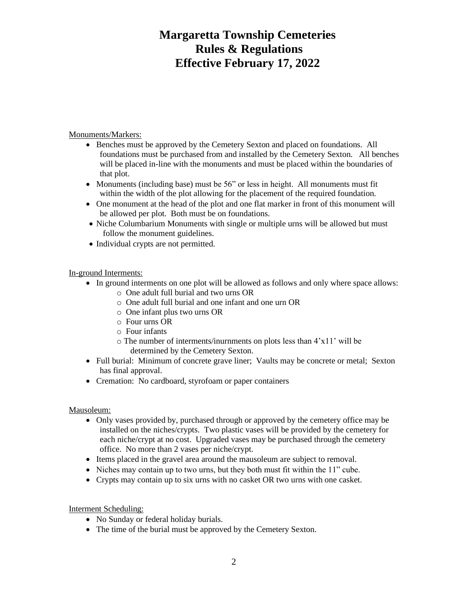# **Margaretta Township Cemeteries Rules & Regulations Effective February 17, 2022**

Monuments/Markers:

- Benches must be approved by the Cemetery Sexton and placed on foundations. All foundations must be purchased from and installed by the Cemetery Sexton. All benches will be placed in-line with the monuments and must be placed within the boundaries of that plot.
- Monuments (including base) must be 56" or less in height. All monuments must fit within the width of the plot allowing for the placement of the required foundation.
- One monument at the head of the plot and one flat marker in front of this monument will be allowed per plot. Both must be on foundations.
- Niche Columbarium Monuments with single or multiple urns will be allowed but must follow the monument guidelines.
- Individual crypts are not permitted.

In-ground Interments:

- In ground interments on one plot will be allowed as follows and only where space allows:
	- o One adult full burial and two urns OR
	- o One adult full burial and one infant and one urn OR
	- o One infant plus two urns OR
	- o Four urns OR
	- o Four infants
	- o The number of interments/inurnments on plots less than 4'x11' will be determined by the Cemetery Sexton.
- Full burial: Minimum of concrete grave liner; Vaults may be concrete or metal; Sexton has final approval.
- Cremation: No cardboard, styrofoam or paper containers

### Mausoleum:

- Only vases provided by, purchased through or approved by the cemetery office may be installed on the niches/crypts. Two plastic vases will be provided by the cemetery for each niche/crypt at no cost. Upgraded vases may be purchased through the cemetery office. No more than 2 vases per niche/crypt.
- Items placed in the gravel area around the mausoleum are subject to removal.
- Niches may contain up to two urns, but they both must fit within the 11" cube.
- Crypts may contain up to six urns with no casket OR two urns with one casket.

Interment Scheduling:

- No Sunday or federal holiday burials.
- The time of the burial must be approved by the Cemetery Sexton.